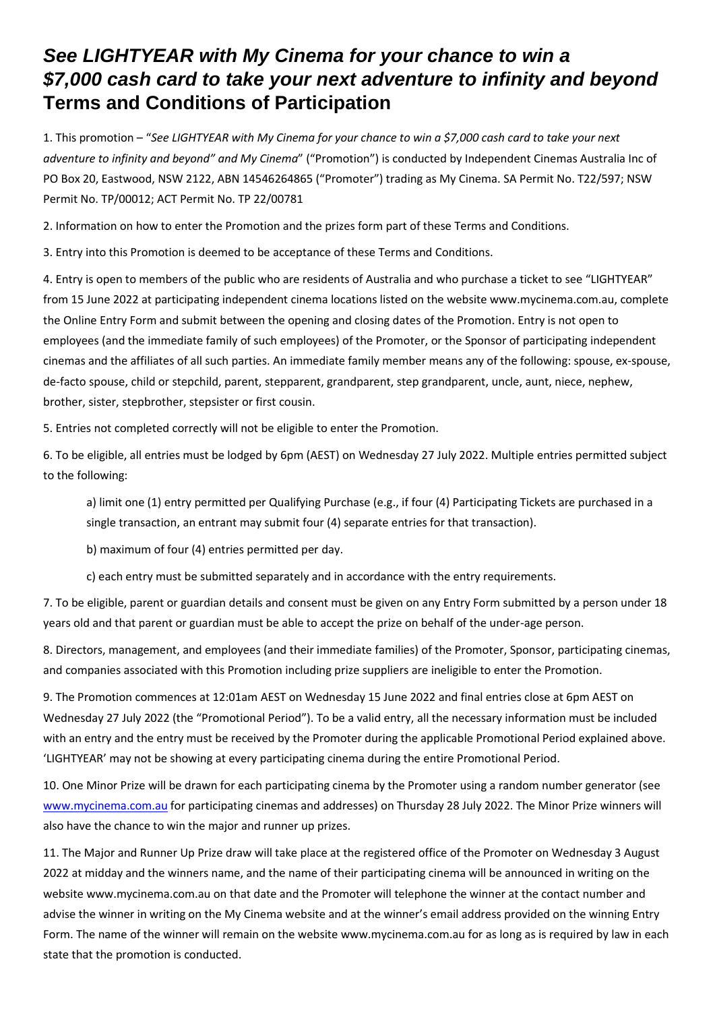## *See LIGHTYEAR with My Cinema for your chance to win a \$7,000 cash card to take your next adventure to infinity and beyond* **Terms and Conditions of Participation**

1. This promotion – "*See LIGHTYEAR with My Cinema for your chance to win a \$7,000 cash card to take your next adventure to infinity and beyond" and My Cinema*" ("Promotion") is conducted by Independent Cinemas Australia Inc of PO Box 20, Eastwood, NSW 2122, ABN 14546264865 ("Promoter") trading as My Cinema. SA Permit No. T22/597; NSW Permit No. TP/00012; ACT Permit No. TP 22/00781

2. Information on how to enter the Promotion and the prizes form part of these Terms and Conditions.

3. Entry into this Promotion is deemed to be acceptance of these Terms and Conditions.

4. Entry is open to members of the public who are residents of Australia and who purchase a ticket to see "LIGHTYEAR" from 15 June 2022 at participating independent cinema locations listed on the website www.mycinema.com.au, complete the Online Entry Form and submit between the opening and closing dates of the Promotion. Entry is not open to employees (and the immediate family of such employees) of the Promoter, or the Sponsor of participating independent cinemas and the affiliates of all such parties. An immediate family member means any of the following: spouse, ex-spouse, de-facto spouse, child or stepchild, parent, stepparent, grandparent, step grandparent, uncle, aunt, niece, nephew, brother, sister, stepbrother, stepsister or first cousin.

5. Entries not completed correctly will not be eligible to enter the Promotion.

6. To be eligible, all entries must be lodged by 6pm (AEST) on Wednesday 27 July 2022. Multiple entries permitted subject to the following:

a) limit one (1) entry permitted per Qualifying Purchase (e.g., if four (4) Participating Tickets are purchased in a single transaction, an entrant may submit four (4) separate entries for that transaction).

b) maximum of four (4) entries permitted per day.

c) each entry must be submitted separately and in accordance with the entry requirements.

7. To be eligible, parent or guardian details and consent must be given on any Entry Form submitted by a person under 18 years old and that parent or guardian must be able to accept the prize on behalf of the under-age person.

8. Directors, management, and employees (and their immediate families) of the Promoter, Sponsor, participating cinemas, and companies associated with this Promotion including prize suppliers are ineligible to enter the Promotion.

9. The Promotion commences at 12:01am AEST on Wednesday 15 June 2022 and final entries close at 6pm AEST on Wednesday 27 July 2022 (the "Promotional Period"). To be a valid entry, all the necessary information must be included with an entry and the entry must be received by the Promoter during the applicable Promotional Period explained above. 'LIGHTYEAR' may not be showing at every participating cinema during the entire Promotional Period.

10. One Minor Prize will be drawn for each participating cinema by the Promoter using a random number generator (see [www.mycinema.com.au](http://www.mycinema.com.au/) for participating cinemas and addresses) on Thursday 28 July 2022. The Minor Prize winners will also have the chance to win the major and runner up prizes.

11. The Major and Runner Up Prize draw will take place at the registered office of the Promoter on Wednesday 3 August 2022 at midday and the winners name, and the name of their participating cinema will be announced in writing on the website www.mycinema.com.au on that date and the Promoter will telephone the winner at the contact number and advise the winner in writing on the My Cinema website and at the winner's email address provided on the winning Entry Form. The name of the winner will remain on the website www.mycinema.com.au for as long as is required by law in each state that the promotion is conducted.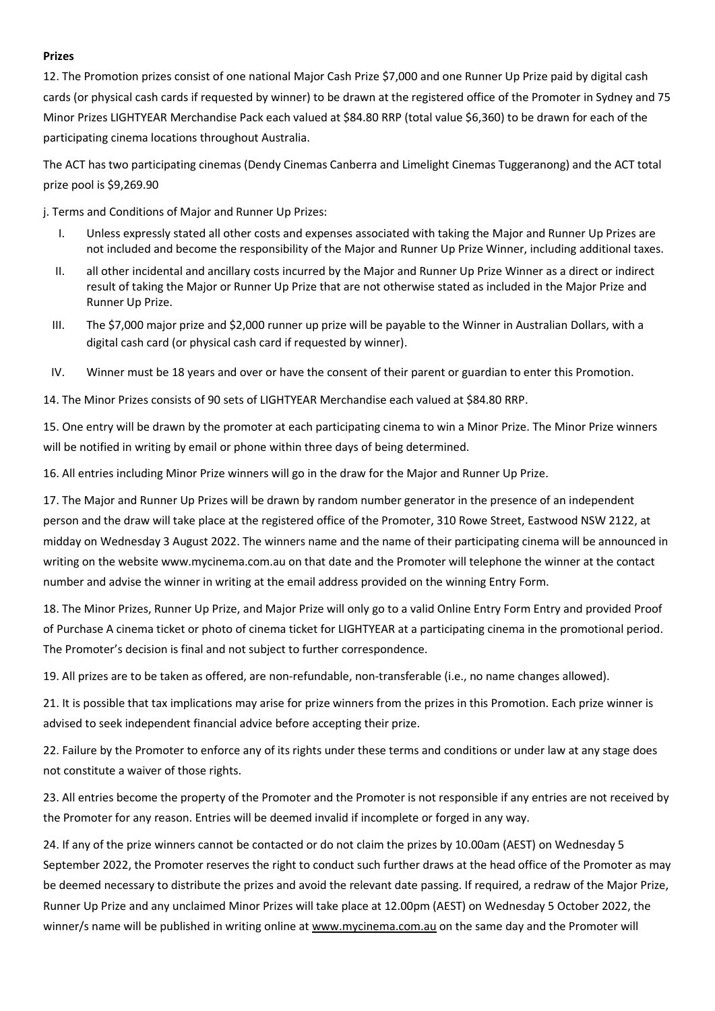## **Prizes**

12. The Promotion prizes consist of one national Major Cash Prize \$7,000 and one Runner Up Prize paid by digital cash cards (or physical cash cards if requested by winner) to be drawn at the registered office of the Promoter in Sydney and 75 Minor Prizes LIGHTYEAR Merchandise Pack each valued at \$84.80 RRP (total value \$6,360) to be drawn for each of the participating cinema locations throughout Australia.

The ACT has two participating cinemas (Dendy Cinemas Canberra and Limelight Cinemas Tuggeranong) and the ACT total prize pool is \$9,269.90

j. Terms and Conditions of Major and Runner Up Prizes:

- I. Unless expressly stated all other costs and expenses associated with taking the Major and Runner Up Prizes are not included and become the responsibility of the Major and Runner Up Prize Winner, including additional taxes.
- II. all other incidental and ancillary costs incurred by the Major and Runner Up Prize Winner as a direct or indirect result of taking the Major or Runner Up Prize that are not otherwise stated as included in the Major Prize and Runner Up Prize.
- III. The \$7,000 major prize and \$2,000 runner up prize will be payable to the Winner in Australian Dollars, with a digital cash card (or physical cash card if requested by winner).
- IV. Winner must be 18 years and over or have the consent of their parent or guardian to enter this Promotion.

14. The Minor Prizes consists of 90 sets of LIGHTYEAR Merchandise each valued at \$84.80 RRP.

15. One entry will be drawn by the promoter at each participating cinema to win a Minor Prize. The Minor Prize winners will be notified in writing by email or phone within three days of being determined.

16. All entries including Minor Prize winners will go in the draw for the Major and Runner Up Prize.

17. The Major and Runner Up Prizes will be drawn by random number generator in the presence of an independent person and the draw will take place at the registered office of the Promoter, 310 Rowe Street, Eastwood NSW 2122, at midday on Wednesday 3 August 2022. The winners name and the name of their participating cinema will be announced in writing on the website www.mycinema.com.au on that date and the Promoter will telephone the winner at the contact number and advise the winner in writing at the email address provided on the winning Entry Form.

18. The Minor Prizes, Runner Up Prize, and Major Prize will only go to a valid Online Entry Form Entry and provided Proof of Purchase A cinema ticket or photo of cinema ticket for LIGHTYEAR at a participating cinema in the promotional period. The Promoter's decision is final and not subject to further correspondence.

19. All prizes are to be taken as offered, are non-refundable, non-transferable (i.e., no name changes allowed).

21. It is possible that tax implications may arise for prize winners from the prizes in this Promotion. Each prize winner is advised to seek independent financial advice before accepting their prize.

22. Failure by the Promoter to enforce any of its rights under these terms and conditions or under law at any stage does not constitute a waiver of those rights.

23. All entries become the property of the Promoter and the Promoter is not responsible if any entries are not received by the Promoter for any reason. Entries will be deemed invalid if incomplete or forged in any way.

24. If any of the prize winners cannot be contacted or do not claim the prizes by 10.00am (AEST) on Wednesday 5 September 2022, the Promoter reserves the right to conduct such further draws at the head office of the Promoter as may be deemed necessary to distribute the prizes and avoid the relevant date passing. If required, a redraw of the Major Prize, Runner Up Prize and any unclaimed Minor Prizes will take place at 12.00pm (AEST) on Wednesday 5 October 2022, the winner/s name will be published in writing online at [www.mycinema.com.au](http://www.mycinema.com.au/) on the same day and the Promoter will